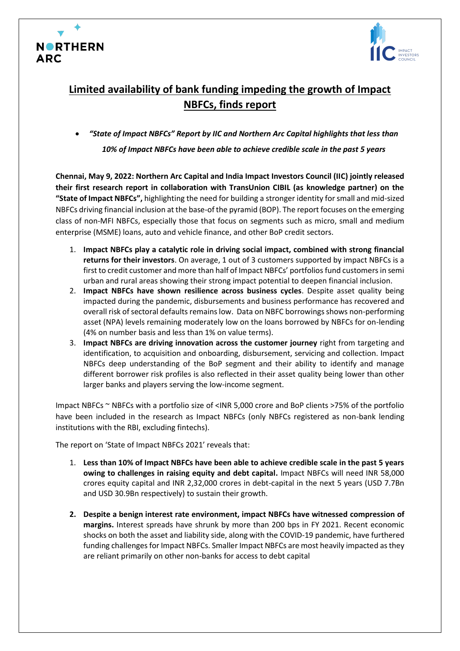



## **Limited availability of bank funding impeding the growth of Impact NBFCs, finds report**

• *"State of Impact NBFCs" Report by IIC and Northern Arc Capital highlights that less than 10% of Impact NBFCs have been able to achieve credible scale in the past 5 years* 

**Chennai, May 9, 2022: Northern Arc Capital and India Impact Investors Council (IIC) jointly released their first research report in collaboration with TransUnion CIBIL (as knowledge partner) on the "State of Impact NBFCs",** highlighting the need for building a stronger identity for small and mid-sized NBFCs driving financial inclusion at the base-of the pyramid (BOP). The report focuses on the emerging class of non-MFI NBFCs, especially those that focus on segments such as micro, small and medium enterprise (MSME) loans, auto and vehicle finance, and other BoP credit sectors.

- 1. **Impact NBFCs play a catalytic role in driving social impact, combined with strong financial returns for their investors**. On average, 1 out of 3 customers supported by impact NBFCs is a first to credit customer and more than half of Impact NBFCs' portfolios fund customers in semi urban and rural areas showing their strong impact potential to deepen financial inclusion.
- 2. **Impact NBFCs have shown resilience across business cycles**. Despite asset quality being impacted during the pandemic, disbursements and business performance has recovered and overall risk of sectoral defaults remains low. Data on NBFC borrowings shows non-performing asset (NPA) levels remaining moderately low on the loans borrowed by NBFCs for on-lending (4% on number basis and less than 1% on value terms).
- 3. **Impact NBFCs are driving innovation across the customer journey** right from targeting and identification, to acquisition and onboarding, disbursement, servicing and collection. Impact NBFCs deep understanding of the BoP segment and their ability to identify and manage different borrower risk profiles is also reflected in their asset quality being lower than other larger banks and players serving the low-income segment.

Impact NBFCs ~ NBFCs with a portfolio size of <INR 5,000 crore and BoP clients >75% of the portfolio have been included in the research as Impact NBFCs (only NBFCs registered as non-bank lending institutions with the RBI, excluding fintechs).

The report on 'State of Impact NBFCs 2021' reveals that:

- 1. **Less than 10% of Impact NBFCs have been able to achieve credible scale in the past 5 years owing to challenges in raising equity and debt capital.** Impact NBFCs will need INR 58,000 crores equity capital and INR 2,32,000 crores in debt-capital in the next 5 years (USD 7.7Bn and USD 30.9Bn respectively) to sustain their growth.
- **2. Despite a benign interest rate environment, impact NBFCs have witnessed compression of margins.** Interest spreads have shrunk by more than 200 bps in FY 2021. Recent economic shocks on both the asset and liability side, along with the COVID-19 pandemic, have furthered funding challenges for Impact NBFCs. Smaller Impact NBFCs are most heavily impacted as they are reliant primarily on other non-banks for access to debt capital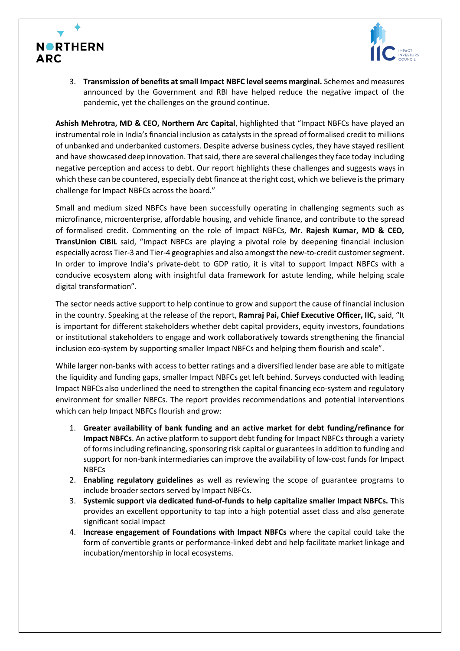



3. **Transmission of benefits at small Impact NBFC level seems marginal.** Schemes and measures announced by the Government and RBI have helped reduce the negative impact of the pandemic, yet the challenges on the ground continue.

**Ashish Mehrotra, MD & CEO, Northern Arc Capital**, highlighted that "Impact NBFCs have played an instrumental role in India's financial inclusion as catalysts in the spread of formalised credit to millions of unbanked and underbanked customers. Despite adverse business cycles, they have stayed resilient and have showcased deep innovation. That said, there are several challenges they face today including negative perception and access to debt. Our report highlights these challenges and suggests ways in which these can be countered, especially debt finance at the right cost, which we believe is the primary challenge for Impact NBFCs across the board."

Small and medium sized NBFCs have been successfully operating in challenging segments such as microfinance, microenterprise, affordable housing, and vehicle finance, and contribute to the spread of formalised credit. Commenting on the role of Impact NBFCs, **Mr. Rajesh Kumar, MD & CEO, TransUnion CIBIL** said, "Impact NBFCs are playing a pivotal role by deepening financial inclusion especially across Tier-3 and Tier-4 geographies and also amongst the new-to-credit customer segment. In order to improve India's private-debt to GDP ratio, it is vital to support Impact NBFCs with a conducive ecosystem along with insightful data framework for astute lending, while helping scale digital transformation".

The sector needs active support to help continue to grow and support the cause of financial inclusion in the country. Speaking at the release of the report, **Ramraj Pai, Chief Executive Officer, IIC,** said, "It is important for different stakeholders whether debt capital providers, equity investors, foundations or institutional stakeholders to engage and work collaboratively towards strengthening the financial inclusion eco-system by supporting smaller Impact NBFCs and helping them flourish and scale".

While larger non-banks with access to better ratings and a diversified lender base are able to mitigate the liquidity and funding gaps, smaller Impact NBFCs get left behind. Surveys conducted with leading Impact NBFCs also underlined the need to strengthen the capital financing eco-system and regulatory environment for smaller NBFCs. The report provides recommendations and potential interventions which can help Impact NBFCs flourish and grow:

- 1. **Greater availability of bank funding and an active market for debt funding/refinance for Impact NBFCs**. An active platform to support debt funding for Impact NBFCs through a variety of forms including refinancing, sponsoring risk capital or guarantees in addition to funding and support for non-bank intermediaries can improve the availability of low-cost funds for Impact NBFCs
- 2. **Enabling regulatory guidelines** as well as reviewing the scope of guarantee programs to include broader sectors served by Impact NBFCs.
- 3. **Systemic support via dedicated fund-of-funds to help capitalize smaller Impact NBFCs.** This provides an excellent opportunity to tap into a high potential asset class and also generate significant social impact
- 4. **Increase engagement of Foundations with Impact NBFCs** where the capital could take the form of convertible grants or performance-linked debt and help facilitate market linkage and incubation/mentorship in local ecosystems.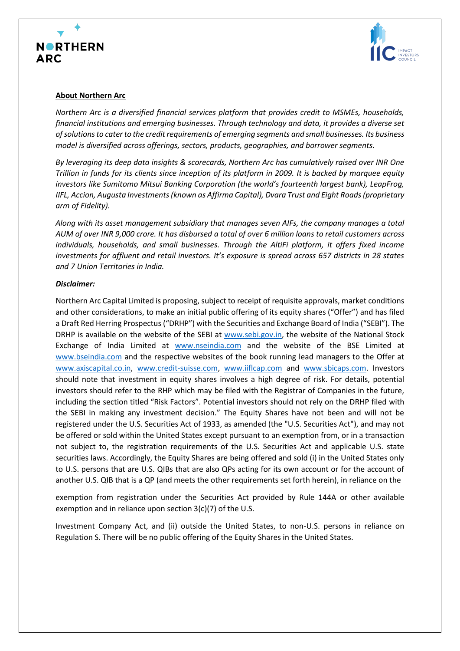



## **About Northern Arc**

*Northern Arc is a diversified financial services platform that provides credit to MSMEs, households, financial institutions and emerging businesses. Through technology and data, it provides a diverse set of solutions to cater to the credit requirements of emerging segments and small businesses. Its business model is diversified across offerings, sectors, products, geographies, and borrower segments.* 

*By leveraging its deep data insights & scorecards, Northern Arc has cumulatively raised over INR One Trillion in funds for its clients since inception of its platform in 2009. It is backed by marquee equity investors like Sumitomo Mitsui Banking Corporation (the world's fourteenth largest bank), LeapFrog, IIFL, Accion, Augusta Investments (known as Affirma Capital), Dvara Trust and Eight Roads (proprietary arm of Fidelity).*

*Along with its asset management subsidiary that manages seven AIFs, the company manages a total AUM of over INR 9,000 crore. It has disbursed a total of over 6 million loans to retail customers across individuals, households, and small businesses. Through the AltiFi platform, it offers fixed income investments for affluent and retail investors. It's exposure is spread across 657 districts in 28 states and 7 Union Territories in India.* 

## *Disclaimer:*

Northern Arc Capital Limited is proposing, subject to receipt of requisite approvals, market conditions and other considerations, to make an initial public offering of its equity shares ("Offer") and has filed a Draft Red Herring Prospectus ("DRHP") with the Securities and Exchange Board of India ("SEBI"). The DRHP is available on the website of the SEBI at [www.sebi.gov.in,](about:blank) the website of the National Stock Exchange of India Limited at [www.nseindia.com](about:blank) and the website of the BSE Limited at [www.bseindia.com](about:blank) and the respective websites of the book running lead managers to the Offer at [www.axiscapital.co.in,](about:blank) [www.credit-suisse.com,](about:blank) [www.iiflcap.com](about:blank) and [www.sbicaps.com.](about:blank) Investors should note that investment in equity shares involves a high degree of risk. For details, potential investors should refer to the RHP which may be filed with the Registrar of Companies in the future, including the section titled "Risk Factors". Potential investors should not rely on the DRHP filed with the SEBI in making any investment decision." The Equity Shares have not been and will not be registered under the U.S. Securities Act of 1933, as amended (the "U.S. Securities Act"), and may not be offered or sold within the United States except pursuant to an exemption from, or in a transaction not subject to, the registration requirements of the U.S. Securities Act and applicable U.S. state securities laws. Accordingly, the Equity Shares are being offered and sold (i) in the United States only to U.S. persons that are U.S. QIBs that are also QPs acting for its own account or for the account of another U.S. QIB that is a QP (and meets the other requirements set forth herein), in reliance on the

exemption from registration under the Securities Act provided by Rule 144A or other available exemption and in reliance upon section 3(c)(7) of the U.S.

Investment Company Act, and (ii) outside the United States, to non-U.S. persons in reliance on Regulation S. There will be no public offering of the Equity Shares in the United States.